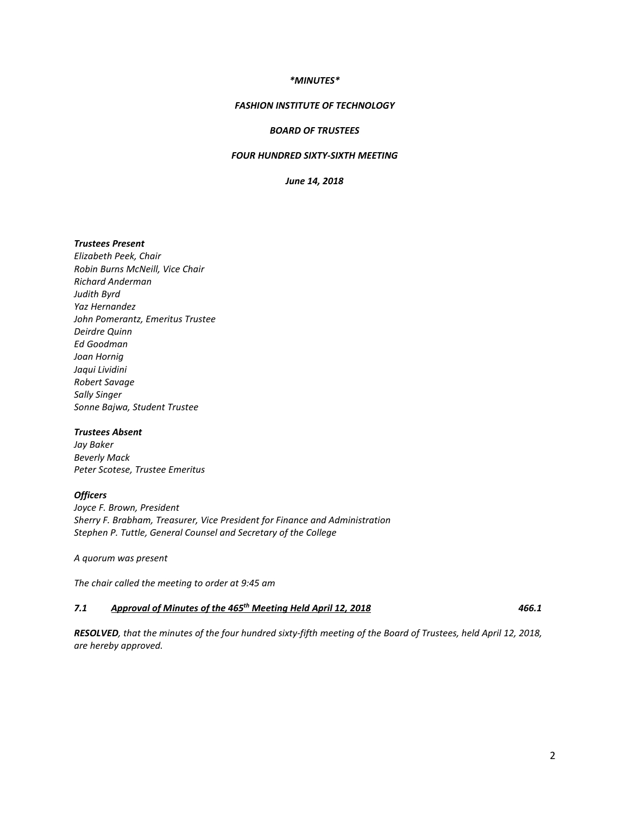### *\*MINUTES\**

#### *FASHION INSTITUTE OF TECHNOLOGY*

### *BOARD OF TRUSTEES*

## *FOUR HUNDRED SIXTY-SIXTH MEETING*

*June 14, 2018*

## *Trustees Present*

*Elizabeth Peek, Chair Robin Burns McNeill, Vice Chair Richard Anderman Judith Byrd Yaz Hernandez John Pomerantz, Emeritus Trustee Deirdre Quinn Ed Goodman Joan Hornig Jaqui Lividini Robert Savage Sally Singer Sonne Bajwa, Student Trustee*

#### *Trustees Absent*

*Jay Baker Beverly Mack Peter Scotese, Trustee Emeritus*

#### *Officers*

*Joyce F. Brown, President Sherry F. Brabham, Treasurer, Vice President for Finance and Administration Stephen P. Tuttle, General Counsel and Secretary of the College*

*A quorum was present*

*The chair called the meeting to order at 9:45 am*

## *7.1 Approval of Minutes of the 465th Meeting Held April 12, 2018 466.1*

*RESOLVED, that the minutes of the four hundred sixty-fifth meeting of the Board of Trustees, held April 12, 2018, are hereby approved.*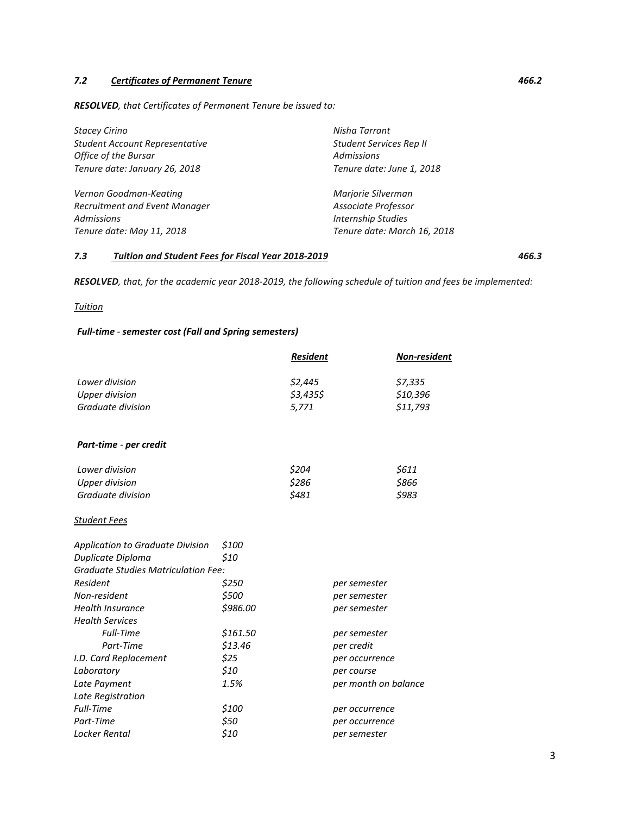# *7.2 Certificates of Permanent Tenure 466.2*

*RESOLVED, that Certificates of Permanent Tenure be issued to:* 

| <b>Stacey Cirino</b>                  | Nisha Tarrant               |  |
|---------------------------------------|-----------------------------|--|
| <b>Student Account Representative</b> | Student Services Rep II     |  |
| Office of the Bursar                  | <b>Admissions</b>           |  |
| Tenure date: January 26, 2018         | Tenure date: June 1, 2018   |  |
| Vernon Goodman-Keating                | Marjorie Silverman          |  |
| Recruitment and Event Manager         | Associate Professor         |  |
| <b>Admissions</b>                     | <b>Internship Studies</b>   |  |
| Tenure date: May 11, 2018             | Tenure date: March 16, 2018 |  |

## *7.3 Tuition and Student Fees for Fiscal Year 2018-2019 466.3*

*RESOLVED, that, for the academic year 2018-2019, the following schedule of tuition and fees be implemented:*

*Tuition*

## *Full-time - semester cost (Fall and Spring semesters)*

|                                            |                              | <b>Resident</b> | <b>Non-resident</b> |  |
|--------------------------------------------|------------------------------|-----------------|---------------------|--|
| Lower division                             |                              | \$2,445         | \$7,335             |  |
| <b>Upper division</b>                      |                              | \$3,435\$       | \$10,396            |  |
| Graduate division                          |                              | 5,771           | \$11,793            |  |
| Part-time - per credit                     |                              |                 |                     |  |
| Lower division                             |                              | \$204           | \$611               |  |
| <b>Upper division</b>                      |                              | \$286           | \$866               |  |
| Graduate division                          |                              | \$481           | \$983               |  |
| Student Fees                               |                              |                 |                     |  |
| <b>Application to Graduate Division</b>    | \$100                        |                 |                     |  |
| Duplicate Diploma                          | \$10                         |                 |                     |  |
| <b>Graduate Studies Matriculation Fee:</b> |                              |                 |                     |  |
| Resident                                   | \$250<br>per semester        |                 |                     |  |
| Non-resident                               | \$500<br>per semester        |                 |                     |  |
| <b>Health Insurance</b>                    | \$986.00<br>per semester     |                 |                     |  |
| <b>Health Services</b>                     |                              |                 |                     |  |
| <b>Full-Time</b>                           | \$161.50<br>per semester     |                 |                     |  |
| Part-Time                                  | \$13.46                      | per credit      |                     |  |
| I.D. Card Replacement                      | \$25                         |                 | per occurrence      |  |
| Laboratory                                 | \$10                         |                 | per course          |  |
| Late Payment                               | 1.5%<br>per month on balance |                 |                     |  |
| Late Registration                          |                              |                 |                     |  |
| Full-Time                                  | \$100                        |                 | per occurrence      |  |
| Part-Time                                  | \$50                         | per occurrence  |                     |  |
| Locker Rental                              | \$10<br>per semester         |                 |                     |  |